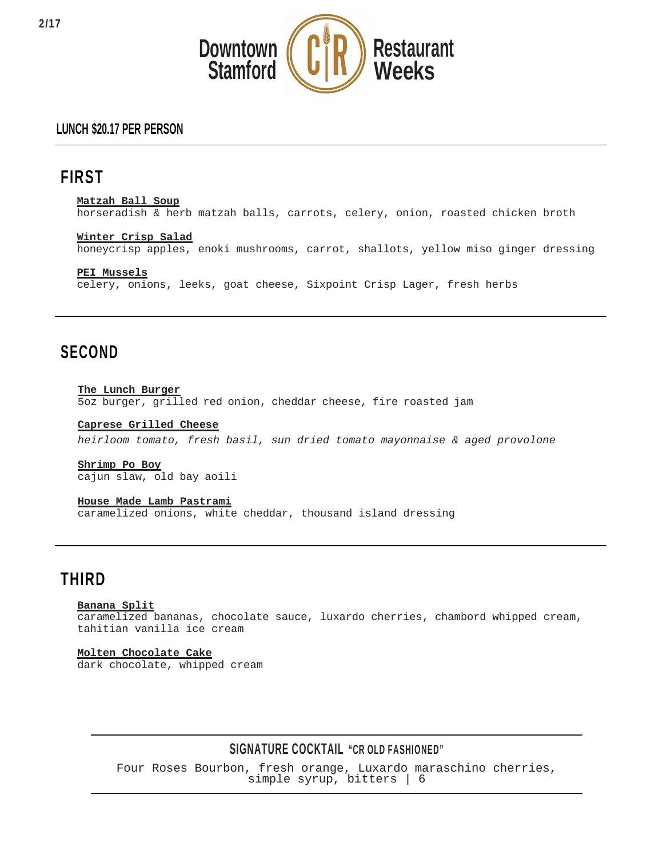

## **LUNCH \$20.17 PER PERSON**

# **FIRST**

**Matzah Ball Soup**

horseradish & herb matzah balls, carrots, celery, onion, roasted chicken broth

**Winter Crisp Salad** honeycrisp apples, enoki mushrooms, carrot, shallots, yellow miso ginger dressing

**PEI Mussels** celery, onions, leeks, goat cheese, Sixpoint Crisp Lager, fresh herbs

## **SECOND**

**The Lunch Burger** 5oz burger, grilled red onion, cheddar cheese, fire roasted jam

**Caprese Grilled Cheese** *heirloom tomato, fresh basil, sun dried tomato mayonnaise & aged provolone*

**Shrimp Po Boy** cajun slaw, old bay aoili

### **House Made Lamb Pastrami**

caramelized onions, white cheddar, thousand island dressing

# **THIRD**

### **Banana Split**

caramelized bananas, chocolate sauce, luxardo cherries, chambord whipped cream, tahitian vanilla ice cream

### **Molten Chocolate Cake**

dark chocolate, whipped cream

### **SIGNATURE COCKTAIL "CR OLD FASHIONED"**

Four Roses Bourbon, fresh orange, Luxardo maraschino cherries, simple syrup, bitters | 6